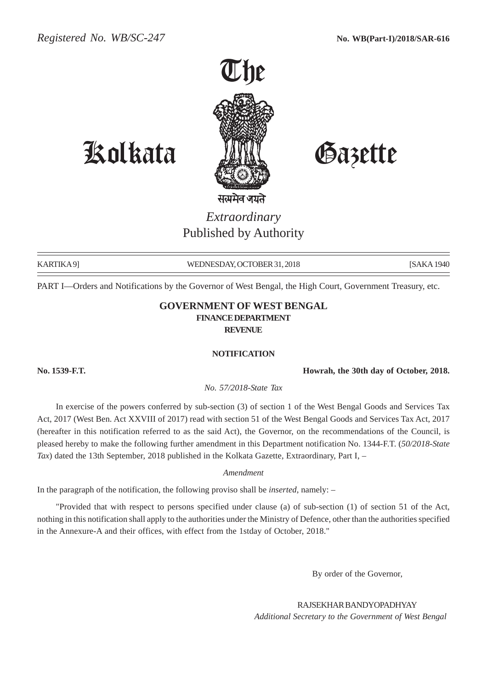

Kolkata Gazette

# *Extraordinary* Published by Authority

KARTIKA 9] WEDNESDAY, OCTOBER 31, 2018 [SAKA 1940] [SAKA 1940]

PART I—Orders and Notifications by the Governor of West Bengal, the High Court, Government Treasury, etc.

### **GOVERNMENT OF WEST BENGAL FINANCE DEPARTMENT REVENUE**

#### **NOTIFICATION**

**No. 1539-F.T. Howrah, the 30th day of October, 2018.**

*No. 57/2018-State Tax*

In exercise of the powers conferred by sub-section (3) of section 1 of the West Bengal Goods and Services Tax Act, 2017 (West Ben. Act XXVIII of 2017) read with section 51 of the West Bengal Goods and Services Tax Act, 2017 (hereafter in this notification referred to as the said Act), the Governor, on the recommendations of the Council, is pleased hereby to make the following further amendment in this Department notification No. 1344-F.T. (*50/2018-State Tax*) dated the 13th September, 2018 published in the Kolkata Gazette, Extraordinary, Part I, –

*Amendment*

In the paragraph of the notification, the following proviso shall be *inserted*, namely: –

"Provided that with respect to persons specified under clause (a) of sub-section (1) of section 51 of the Act, nothing in this notification shall apply to the authorities under the Ministry of Defence, other than the authorities specified in the Annexure-A and their offices, with effect from the 1stday of October, 2018."

By order of the Governor,

RAJSEKHAR BANDYOPADHYAY *Additional Secretary to the Government of West Bengal*